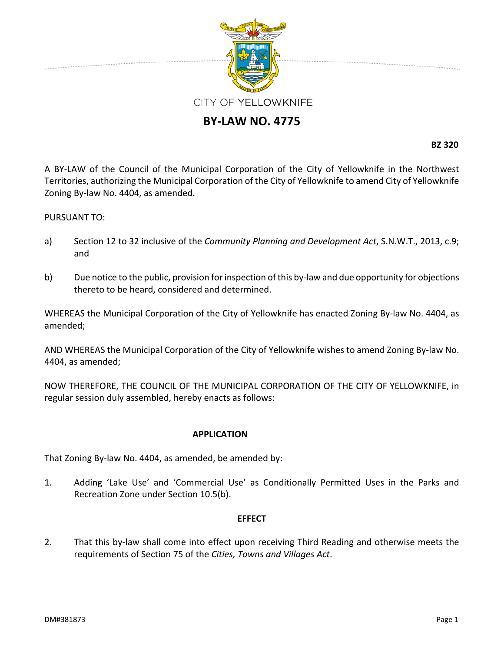

## **BY‐LAW NO. 4775**

**BZ 320**

A BY‐LAW of the Council of the Municipal Corporation of the City of Yellowknife in the Northwest Territories, authorizing the Municipal Corporation of the City of Yellowknife to amend City of Yellowknife Zoning By‐law No. 4404, as amended.

## PURSUANT TO:

- a) Section 12 to 32 inclusive of the *Community Planning and Development Act*, S.N.W.T., 2013, c.9; and
- b) Due notice to the public, provision for inspection of this by-law and due opportunity for objections thereto to be heard, considered and determined.

WHEREAS the Municipal Corporation of the City of Yellowknife has enacted Zoning By-law No. 4404, as amended;

AND WHEREAS the Municipal Corporation of the City of Yellowknife wishes to amend Zoning By‐law No. 4404, as amended;

NOW THEREFORE, THE COUNCIL OF THE MUNICIPAL CORPORATION OF THE CITY OF YELLOWKNIFE, in regular session duly assembled, hereby enacts as follows:

## **APPLICATION**

That Zoning By-law No. 4404, as amended, be amended by:

1. Adding 'Lake Use' and 'Commercial Use' as Conditionally Permitted Uses in the Parks and Recreation Zone under Section 10.5(b).

## **EFFECT**

2. That this by-law shall come into effect upon receiving Third Reading and otherwise meets the requirements of Section 75 of the *Cities, Towns and Villages Act*.